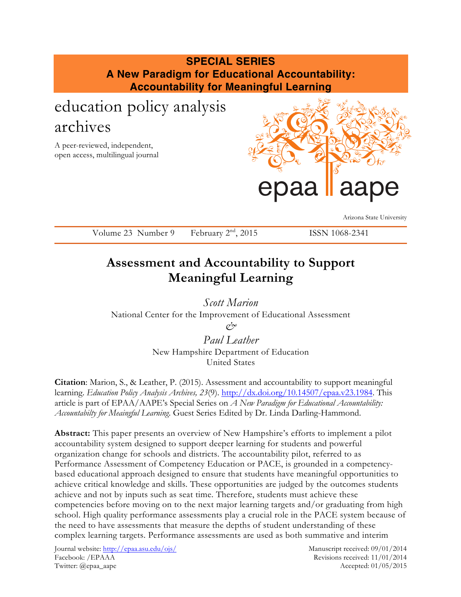## **SPECIAL SERIES A New Paradigm for Educational Accountability: Accountability for Meaningful Learning**

# education policy analysis archives

A peer-reviewed, independent, open access, multilingual journal



Arizona State University

Volume 23 Number 9 February 2<sup>nd</sup>, 2015 ISSN 1068-2341

## **Assessment and Accountability to Support Meaningful Learning**

*Scott Marion* National Center for the Improvement of Educational Assessment

 $\alpha^{\prime}$ 

*Paul Leather* New Hampshire Department of Education United States

**Citation**: Marion, S., & Leather, P. (2015). Assessment and accountability to support meaningful learning. *Education Policy Analysis Archives, 23*(9). http://dx.doi.org/10.14507/epaa.v23.1984. This article is part of EPAA/AAPE's Special Series on *A New Paradigm for Educational Accountability: Accountabilty for Meaingful Learning*. Guest Series Edited by Dr. Linda Darling-Hammond.

**Abstract:** This paper presents an overview of New Hampshire's efforts to implement a pilot accountability system designed to support deeper learning for students and powerful organization change for schools and districts. The accountability pilot, referred to as Performance Assessment of Competency Education or PACE, is grounded in a competencybased educational approach designed to ensure that students have meaningful opportunities to achieve critical knowledge and skills. These opportunities are judged by the outcomes students achieve and not by inputs such as seat time. Therefore, students must achieve these competencies before moving on to the next major learning targets and/or graduating from high school. High quality performance assessments play a crucial role in the PACE system because of the need to have assessments that measure the depths of student understanding of these complex learning targets. Performance assessments are used as both summative and interim

Journal website: http://epaa.asu.edu/ojs/ Manuscript received: 09/01/2014 Facebook: /EPAAA Revisions received: 11/01/2014 Twitter: @epaa\_aape Accepted: 01/05/2015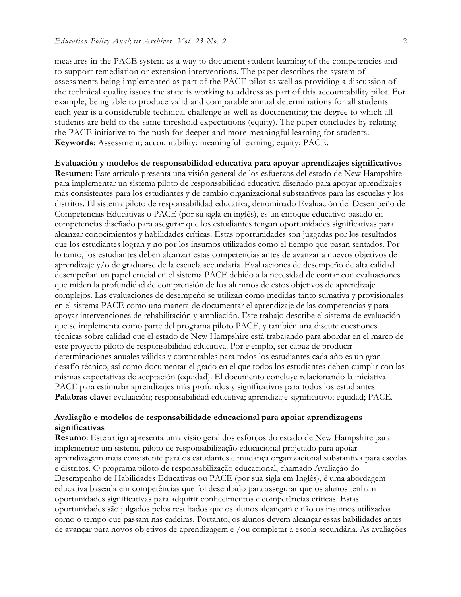measures in the PACE system as a way to document student learning of the competencies and to support remediation or extension interventions. The paper describes the system of assessments being implemented as part of the PACE pilot as well as providing a discussion of the technical quality issues the state is working to address as part of this accountability pilot. For example, being able to produce valid and comparable annual determinations for all students each year is a considerable technical challenge as well as documenting the degree to which all students are held to the same threshold expectations (equity). The paper concludes by relating the PACE initiative to the push for deeper and more meaningful learning for students. **Keywords**: Assessment; accountability; meaningful learning; equity; PACE.

**Evaluación y modelos de responsabilidad educativa para apoyar aprendizajes significativos Resumen**: Este artículo presenta una visión general de los esfuerzos del estado de New Hampshire para implementar un sistema piloto de responsabilidad educativa diseñado para apoyar aprendizajes más consistentes para los estudiantes y de cambio organizacional substantivos para las escuelas y los distritos. El sistema piloto de responsabilidad educativa, denominado Evaluación del Desempeño de Competencias Educativas o PACE (por su sigla en inglés), es un enfoque educativo basado en competencias diseñado para asegurar que los estudiantes tengan oportunidades significativas para alcanzar conocimientos y habilidades críticas. Estas oportunidades son juzgadas por los resultados que los estudiantes logran y no por los insumos utilizados como el tiempo que pasan sentados. Por lo tanto, los estudiantes deben alcanzar estas competencias antes de avanzar a nuevos objetivos de aprendizaje y/o de graduarse de la escuela secundaria. Evaluaciones de desempeño de alta calidad desempeñan un papel crucial en el sistema PACE debido a la necesidad de contar con evaluaciones que miden la profundidad de comprensión de los alumnos de estos objetivos de aprendizaje complejos. Las evaluaciones de desempeño se utilizan como medidas tanto sumativa y provisionales en el sistema PACE como una manera de documentar el aprendizaje de las competencias y para apoyar intervenciones de rehabilitación y ampliación. Este trabajo describe el sistema de evaluación que se implementa como parte del programa piloto PACE, y también una discute cuestiones técnicas sobre calidad que el estado de New Hampshire está trabajando para abordar en el marco de este proyecto piloto de responsabilidad educativa. Por ejemplo, ser capaz de producir determinaciones anuales válidas y comparables para todos los estudiantes cada año es un gran desafío técnico, así como documentar el grado en el que todos los estudiantes deben cumplir con las mismas expectativas de aceptación (equidad). El documento concluye relacionando la iniciativa PACE para estimular aprendizajes más profundos y significativos para todos los estudiantes. **Palabras clave:** evaluación; responsabilidad educativa; aprendizaje significativo; equidad; PACE.

#### **Avaliação e modelos de responsabilidade educacional para apoiar aprendizagens significativas**

**Resumo**: Este artigo apresenta uma visão geral dos esforços do estado de New Hampshire para implementar um sistema piloto de responsabilização educacional projetado para apoiar aprendizagem mais consistente para os estudantes e mudança organizacional substantiva para escolas e distritos. O programa piloto de responsabilização educacional, chamado Avaliação do Desempenho de Habilidades Educativas ou PACE (por sua sigla em Inglês), é uma abordagem educativa baseada em competências que foi desenhado para assegurar que os alunos tenham oportunidades significativas para adquirir conhecimentos e competências críticas. Estas oportunidades são julgados pelos resultados que os alunos alcançam e não os insumos utilizados como o tempo que passam nas cadeiras. Portanto, os alunos devem alcançar essas habilidades antes de avançar para novos objetivos de aprendizagem e /ou completar a escola secundária. As avaliações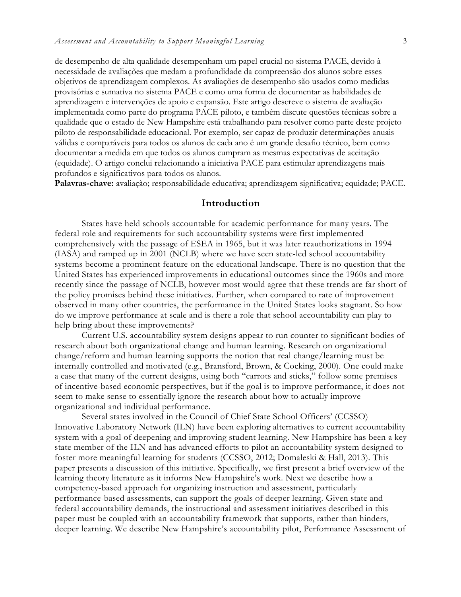de desempenho de alta qualidade desempenham um papel crucial no sistema PACE, devido à necessidade de avaliações que medam a profundidade da compreensão dos alunos sobre esses objetivos de aprendizagem complexos. As avaliações de desempenho são usados como medidas provisórias e sumativa no sistema PACE e como uma forma de documentar as habilidades de aprendizagem e intervenções de apoio e expansão. Este artigo descreve o sistema de avaliação implementada como parte do programa PACE piloto, e também discute questões técnicas sobre a qualidade que o estado de New Hampshire está trabalhando para resolver como parte deste projeto piloto de responsabilidade educacional. Por exemplo, ser capaz de produzir determinações anuais válidas e comparáveis para todos os alunos de cada ano é um grande desafio técnico, bem como documentar a medida em que todos os alunos cumpram as mesmas expectativas de aceitação (equidade). O artigo conclui relacionando a iniciativa PACE para estimular aprendizagens mais profundos e significativos para todos os alunos.

**Palavras-chave:** avaliação; responsabilidade educativa; aprendizagem significativa; equidade; PACE.

#### **Introduction**

States have held schools accountable for academic performance for many years. The federal role and requirements for such accountability systems were first implemented comprehensively with the passage of ESEA in 1965, but it was later reauthorizations in 1994 (IASA) and ramped up in 2001 (NCLB) where we have seen state-led school accountability systems become a prominent feature on the educational landscape. There is no question that the United States has experienced improvements in educational outcomes since the 1960s and more recently since the passage of NCLB, however most would agree that these trends are far short of the policy promises behind these initiatives. Further, when compared to rate of improvement observed in many other countries, the performance in the United States looks stagnant. So how do we improve performance at scale and is there a role that school accountability can play to help bring about these improvements?

Current U.S. accountability system designs appear to run counter to significant bodies of research about both organizational change and human learning. Research on organizational change/reform and human learning supports the notion that real change/learning must be internally controlled and motivated (e.g., Bransford, Brown, & Cocking, 2000). One could make a case that many of the current designs, using both "carrots and sticks," follow some premises of incentive-based economic perspectives, but if the goal is to improve performance, it does not seem to make sense to essentially ignore the research about how to actually improve organizational and individual performance.

Several states involved in the Council of Chief State School Officers' (CCSSO) Innovative Laboratory Network (ILN) have been exploring alternatives to current accountability system with a goal of deepening and improving student learning. New Hampshire has been a key state member of the ILN and has advanced efforts to pilot an accountability system designed to foster more meaningful learning for students (CCSSO, 2012; Domaleski & Hall, 2013). This paper presents a discussion of this initiative. Specifically, we first present a brief overview of the learning theory literature as it informs New Hampshire's work. Next we describe how a competency-based approach for organizing instruction and assessment, particularly performance-based assessments, can support the goals of deeper learning. Given state and federal accountability demands, the instructional and assessment initiatives described in this paper must be coupled with an accountability framework that supports, rather than hinders, deeper learning. We describe New Hampshire's accountability pilot, Performance Assessment of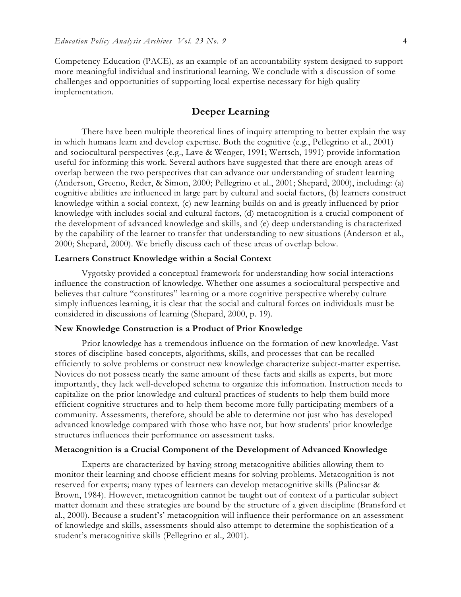Competency Education (PACE), as an example of an accountability system designed to support more meaningful individual and institutional learning. We conclude with a discussion of some challenges and opportunities of supporting local expertise necessary for high quality implementation.

## **Deeper Learning**

There have been multiple theoretical lines of inquiry attempting to better explain the way in which humans learn and develop expertise. Both the cognitive (e.g., Pellegrino et al., 2001) and sociocultural perspectives (e.g., Lave & Wenger, 1991; Wertsch, 1991) provide information useful for informing this work. Several authors have suggested that there are enough areas of overlap between the two perspectives that can advance our understanding of student learning (Anderson, Greeno, Reder, & Simon, 2000; Pellegrino et al., 2001; Shepard, 2000), including: (a) cognitive abilities are influenced in large part by cultural and social factors, (b) learners construct knowledge within a social context, (c) new learning builds on and is greatly influenced by prior knowledge with includes social and cultural factors, (d) metacognition is a crucial component of the development of advanced knowledge and skills, and (e) deep understanding is characterized by the capability of the learner to transfer that understanding to new situations (Anderson et al., 2000; Shepard, 2000). We briefly discuss each of these areas of overlap below.

#### **Learners Construct Knowledge within a Social Context**

Vygotsky provided a conceptual framework for understanding how social interactions influence the construction of knowledge. Whether one assumes a sociocultural perspective and believes that culture "constitutes" learning or a more cognitive perspective whereby culture simply influences learning, it is clear that the social and cultural forces on individuals must be considered in discussions of learning (Shepard, 2000, p. 19).

#### **New Knowledge Construction is a Product of Prior Knowledge**

Prior knowledge has a tremendous influence on the formation of new knowledge. Vast stores of discipline-based concepts, algorithms, skills, and processes that can be recalled efficiently to solve problems or construct new knowledge characterize subject-matter expertise. Novices do not possess nearly the same amount of these facts and skills as experts, but more importantly, they lack well-developed schema to organize this information. Instruction needs to capitalize on the prior knowledge and cultural practices of students to help them build more efficient cognitive structures and to help them become more fully participating members of a community. Assessments, therefore, should be able to determine not just who has developed advanced knowledge compared with those who have not, but how students' prior knowledge structures influences their performance on assessment tasks.

#### **Metacognition is a Crucial Component of the Development of Advanced Knowledge**

Experts are characterized by having strong metacognitive abilities allowing them to monitor their learning and choose efficient means for solving problems. Metacognition is not reserved for experts; many types of learners can develop metacognitive skills (Palincsar & Brown, 1984). However, metacognition cannot be taught out of context of a particular subject matter domain and these strategies are bound by the structure of a given discipline (Bransford et al., 2000). Because a student's' metacognition will influence their performance on an assessment of knowledge and skills, assessments should also attempt to determine the sophistication of a student's metacognitive skills (Pellegrino et al., 2001).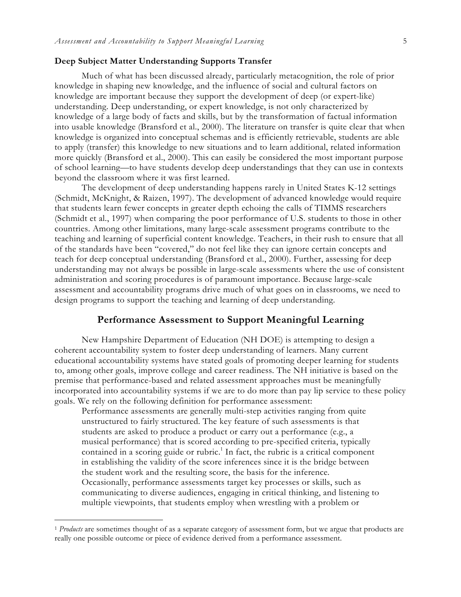#### **Deep Subject Matter Understanding Supports Transfer**

Much of what has been discussed already, particularly metacognition, the role of prior knowledge in shaping new knowledge, and the influence of social and cultural factors on knowledge are important because they support the development of deep (or expert-like) understanding. Deep understanding, or expert knowledge, is not only characterized by knowledge of a large body of facts and skills, but by the transformation of factual information into usable knowledge (Bransford et al., 2000). The literature on transfer is quite clear that when knowledge is organized into conceptual schemas and is efficiently retrievable, students are able to apply (transfer) this knowledge to new situations and to learn additional, related information more quickly (Bransford et al., 2000). This can easily be considered the most important purpose of school learning—to have students develop deep understandings that they can use in contexts beyond the classroom where it was first learned.

The development of deep understanding happens rarely in United States K-12 settings (Schmidt, McKnight, & Raizen, 1997). The development of advanced knowledge would require that students learn fewer concepts in greater depth echoing the calls of TIMMS researchers (Schmidt et al., 1997) when comparing the poor performance of U.S. students to those in other countries. Among other limitations, many large-scale assessment programs contribute to the teaching and learning of superficial content knowledge. Teachers, in their rush to ensure that all of the standards have been "covered," do not feel like they can ignore certain concepts and teach for deep conceptual understanding (Bransford et al., 2000). Further, assessing for deep understanding may not always be possible in large-scale assessments where the use of consistent administration and scoring procedures is of paramount importance. Because large-scale assessment and accountability programs drive much of what goes on in classrooms, we need to design programs to support the teaching and learning of deep understanding.

#### **Performance Assessment to Support Meaningful Learning**

New Hampshire Department of Education (NH DOE) is attempting to design a coherent accountability system to foster deep understanding of learners. Many current educational accountability systems have stated goals of promoting deeper learning for students to, among other goals, improve college and career readiness. The NH initiative is based on the premise that performance-based and related assessment approaches must be meaningfully incorporated into accountability systems if we are to do more than pay lip service to these policy goals. We rely on the following definition for performance assessment:

Performance assessments are generally multi-step activities ranging from quite unstructured to fairly structured. The key feature of such assessments is that students are asked to produce a product or carry out a performance (e.g., a musical performance) that is scored according to pre-specified criteria, typically contained in a scoring guide or rubric.<sup>1</sup> In fact, the rubric is a critical component in establishing the validity of the score inferences since it is the bridge between the student work and the resulting score, the basis for the inference. Occasionally, performance assessments target key processes or skills, such as communicating to diverse audiences, engaging in critical thinking, and listening to multiple viewpoints, that students employ when wrestling with a problem or

 <sup>1</sup> *Products* are sometimes thought of as a separate category of assessment form, but we argue that products are really one possible outcome or piece of evidence derived from a performance assessment.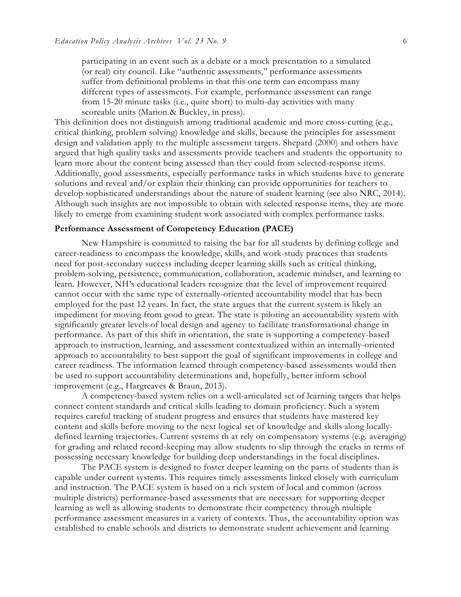participating in an event such as a debate or a mock presentation to a simulated (or real) city council. Like "authentic assessments," performance assessments suffer from definitional problems in that this one term can encompass many different types of assessments. For example, performance assessment can range from 15-20 minute tasks (i.e., quite short) to multi-day activities with many scoreable units (Marion & Buckley, in press).

This definition does not distinguish among traditional academic and more cross-cutting (e.g., critical thinking, problem solving) knowledge and skills, because the principles for assessment design and validation apply to the multiple assessment targets. Shepard (2000) and others have argued that high quality tasks and assessments provide teachers and students the opportunity to learn more about the content being assessed than they could from selected-response items. Additionally, good assessments, especially performance tasks in which students have to generate solutions and reveal and/or explain their thinking can provide opportunities for teachers to develop sophisticated understandings about the nature of student learning (see also NRC, 2014). Although such insights are not impossible to obtain with selected response items, they are more likely to emerge from examining student work associated with complex performance tasks.

#### **Performance Assessment of Competency Education (PACE)**

New Hampshire is committed to raising the bar for all students by defining college and career-readiness to encompass the knowledge, skills, and work-study practices that students need for post-secondary success including deeper learning skills such as critical thinking, problem-solving, persistence, communication, collaboration, academic mindset, and learning to learn. However, NH's educational leaders recognize that the level of improvement required cannot occur with the same type of externally-oriented accountability model that has been employed for the past 12 years. In fact, the state argues that the current system is likely an impediment for moving from good to great. The state is piloting an accountability system with significantly greater levels of local design and agency to facilitate transformational change in performance. As part of this shift in orientation, the state is supporting a competency-based approach to instruction, learning, and assessment contextualized within an internally-oriented approach to accountability to best support the goal of significant improvements in college and career readiness. The information learned through competency-based assessments would then be used to support accountability determinations and, hopefully, better inform school improvement (e.g., Hargreaves & Braun, 2013).

A competency-based system relies on a well-articulated set of learning targets that helps connect content standards and critical skills leading to domain proficiency. Such a system requires careful tracking of student progress and ensures that students have mastered key content and skills before moving to the next logical set of knowledge and skills along locallydefined learning trajectories. Current systems th at rely on compensatory systems (e.g. averaging) for grading and related record-keeping may allow students to slip through the cracks in terms of possessing necessary knowledge for building deep understandings in the focal disciplines.

The PACE system is designed to foster deeper learning on the parts of students than is capable under current systems. This requires timely assessments linked closely with curriculum and instruction. The PACE system is based on a rich system of local and common (across multiple districts) performance-based assessments that are necessary for supporting deeper learning as well as allowing students to demonstrate their competency through multiple performance assessment measures in a variety of contexts. Thus, the accountability option was established to enable schools and districts to demonstrate student achievement and learning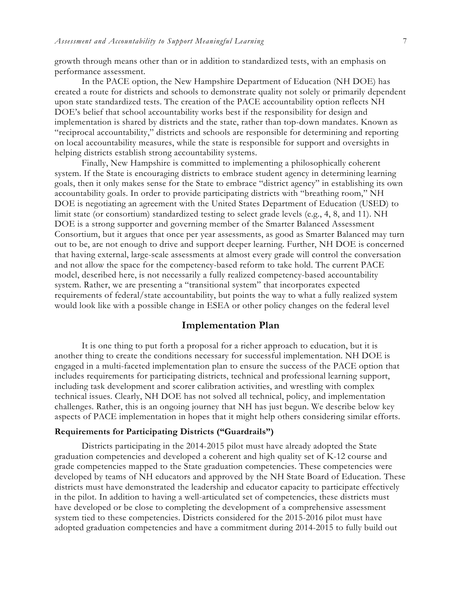growth through means other than or in addition to standardized tests, with an emphasis on performance assessment.

In the PACE option, the New Hampshire Department of Education (NH DOE) has created a route for districts and schools to demonstrate quality not solely or primarily dependent upon state standardized tests. The creation of the PACE accountability option reflects NH DOE's belief that school accountability works best if the responsibility for design and implementation is shared by districts and the state, rather than top-down mandates. Known as "reciprocal accountability," districts and schools are responsible for determining and reporting on local accountability measures, while the state is responsible for support and oversights in helping districts establish strong accountability systems.

Finally, New Hampshire is committed to implementing a philosophically coherent system. If the State is encouraging districts to embrace student agency in determining learning goals, then it only makes sense for the State to embrace "district agency" in establishing its own accountability goals. In order to provide participating districts with "breathing room," NH DOE is negotiating an agreement with the United States Department of Education (USED) to limit state (or consortium) standardized testing to select grade levels (e.g., 4, 8, and 11). NH DOE is a strong supporter and governing member of the Smarter Balanced Assessment Consortium, but it argues that once per year assessments, as good as Smarter Balanced may turn out to be, are not enough to drive and support deeper learning. Further, NH DOE is concerned that having external, large-scale assessments at almost every grade will control the conversation and not allow the space for the competency-based reform to take hold. The current PACE model, described here, is not necessarily a fully realized competency-based accountability system. Rather, we are presenting a "transitional system" that incorporates expected requirements of federal/state accountability, but points the way to what a fully realized system would look like with a possible change in ESEA or other policy changes on the federal level

#### **Implementation Plan**

It is one thing to put forth a proposal for a richer approach to education, but it is another thing to create the conditions necessary for successful implementation. NH DOE is engaged in a multi-faceted implementation plan to ensure the success of the PACE option that includes requirements for participating districts, technical and professional learning support, including task development and scorer calibration activities, and wrestling with complex technical issues. Clearly, NH DOE has not solved all technical, policy, and implementation challenges. Rather, this is an ongoing journey that NH has just begun. We describe below key aspects of PACE implementation in hopes that it might help others considering similar efforts.

#### **Requirements for Participating Districts ("Guardrails")**

Districts participating in the 2014-2015 pilot must have already adopted the State graduation competencies and developed a coherent and high quality set of K-12 course and grade competencies mapped to the State graduation competencies. These competencies were developed by teams of NH educators and approved by the NH State Board of Education. These districts must have demonstrated the leadership and educator capacity to participate effectively in the pilot. In addition to having a well-articulated set of competencies, these districts must have developed or be close to completing the development of a comprehensive assessment system tied to these competencies. Districts considered for the 2015-2016 pilot must have adopted graduation competencies and have a commitment during 2014-2015 to fully build out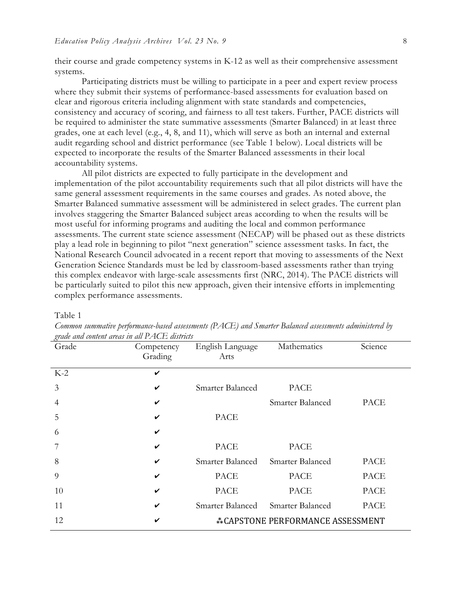their course and grade competency systems in K-12 as well as their comprehensive assessment systems.

Participating districts must be willing to participate in a peer and expert review process where they submit their systems of performance-based assessments for evaluation based on clear and rigorous criteria including alignment with state standards and competencies, consistency and accuracy of scoring, and fairness to all test takers. Further, PACE districts will be required to administer the state summative assessments (Smarter Balanced) in at least three grades, one at each level (e.g., 4, 8, and 11), which will serve as both an internal and external audit regarding school and district performance (see Table 1 below). Local districts will be expected to incorporate the results of the Smarter Balanced assessments in their local accountability systems.

All pilot districts are expected to fully participate in the development and implementation of the pilot accountability requirements such that all pilot districts will have the same general assessment requirements in the same courses and grades. As noted above, the Smarter Balanced summative assessment will be administered in select grades. The current plan involves staggering the Smarter Balanced subject areas according to when the results will be most useful for informing programs and auditing the local and common performance assessments. The current state science assessment (NECAP) will be phased out as these districts play a lead role in beginning to pilot "next generation" science assessment tasks. In fact, the National Research Council advocated in a recent report that moving to assessments of the Next Generation Science Standards must be led by classroom-based assessments rather than trying this complex endeavor with large-scale assessments first (NRC, 2014). The PACE districts will be particularly suited to pilot this new approach, given their intensive efforts in implementing complex performance assessments.

| Table |  |
|-------|--|
|-------|--|

| Grade | Competency<br>Grading | English Language<br>Arts | Mathematics                             | Science     |
|-------|-----------------------|--------------------------|-----------------------------------------|-------------|
| $K-2$ | V                     |                          |                                         |             |
| 3     | V                     | <b>Smarter Balanced</b>  | PACE                                    |             |
| 4     | V                     |                          | Smarter Balanced                        | PACE        |
| 5     | V                     | <b>PACE</b>              |                                         |             |
| 6     | V                     |                          |                                         |             |
|       |                       | PACE                     | <b>PACE</b>                             |             |
| 8     | ✔                     | Smarter Balanced         | <b>Smarter Balanced</b>                 | <b>PACE</b> |
| 9     | V                     | <b>PACE</b>              | <b>PACE</b>                             | <b>PACE</b> |
| 10    | V                     | <b>PACE</b>              | <b>PACE</b>                             | PACE        |
| 11    | V                     | Smarter Balanced         | Smarter Balanced                        | <b>PACE</b> |
| 12    | ✓                     |                          | <b>ACAPSTONE PERFORMANCE ASSESSMENT</b> |             |

*Common summative performance-based assessments (PACE) and Smarter Balanced assessments administered by grade and content areas in all PACE districts*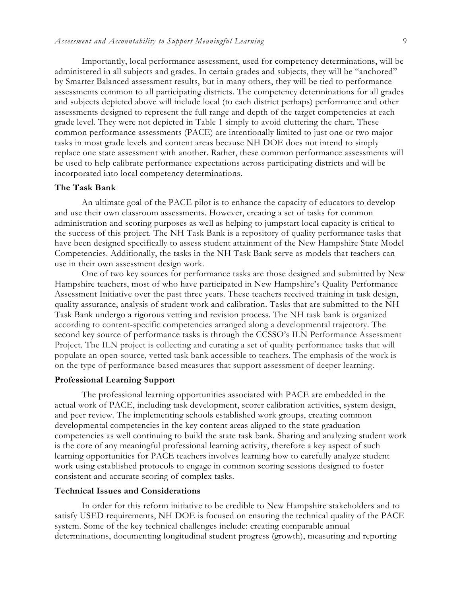Importantly, local performance assessment, used for competency determinations, will be administered in all subjects and grades. In certain grades and subjects, they will be "anchored" by Smarter Balanced assessment results, but in many others, they will be tied to performance assessments common to all participating districts. The competency determinations for all grades and subjects depicted above will include local (to each district perhaps) performance and other assessments designed to represent the full range and depth of the target competencies at each grade level. They were not depicted in Table 1 simply to avoid cluttering the chart. These common performance assessments (PACE) are intentionally limited to just one or two major tasks in most grade levels and content areas because NH DOE does not intend to simply replace one state assessment with another. Rather, these common performance assessments will be used to help calibrate performance expectations across participating districts and will be incorporated into local competency determinations.

#### **The Task Bank**

An ultimate goal of the PACE pilot is to enhance the capacity of educators to develop and use their own classroom assessments. However, creating a set of tasks for common administration and scoring purposes as well as helping to jumpstart local capacity is critical to the success of this project. The NH Task Bank is a repository of quality performance tasks that have been designed specifically to assess student attainment of the New Hampshire State Model Competencies. Additionally, the tasks in the NH Task Bank serve as models that teachers can use in their own assessment design work.

One of two key sources for performance tasks are those designed and submitted by New Hampshire teachers, most of who have participated in New Hampshire's Quality Performance Assessment Initiative over the past three years. These teachers received training in task design, quality assurance, analysis of student work and calibration. Tasks that are submitted to the NH Task Bank undergo a rigorous vetting and revision process. The NH task bank is organized according to content-specific competencies arranged along a developmental trajectory. The second key source of performance tasks is through the CCSSO's ILN Performance Assessment Project. The ILN project is collecting and curating a set of quality performance tasks that will populate an open-source, vetted task bank accessible to teachers. The emphasis of the work is on the type of performance-based measures that support assessment of deeper learning.

#### **Professional Learning Support**

The professional learning opportunities associated with PACE are embedded in the actual work of PACE, including task development, scorer calibration activities, system design, and peer review. The implementing schools established work groups, creating common developmental competencies in the key content areas aligned to the state graduation competencies as well continuing to build the state task bank. Sharing and analyzing student work is the core of any meaningful professional learning activity, therefore a key aspect of such learning opportunities for PACE teachers involves learning how to carefully analyze student work using established protocols to engage in common scoring sessions designed to foster consistent and accurate scoring of complex tasks.

#### **Technical Issues and Considerations**

In order for this reform initiative to be credible to New Hampshire stakeholders and to satisfy USED requirements, NH DOE is focused on ensuring the technical quality of the PACE system. Some of the key technical challenges include: creating comparable annual determinations, documenting longitudinal student progress (growth), measuring and reporting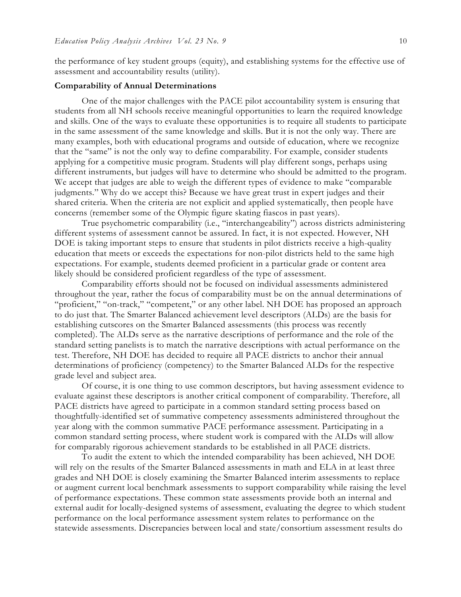the performance of key student groups (equity), and establishing systems for the effective use of assessment and accountability results (utility).

#### **Comparability of Annual Determinations**

One of the major challenges with the PACE pilot accountability system is ensuring that students from all NH schools receive meaningful opportunities to learn the required knowledge and skills. One of the ways to evaluate these opportunities is to require all students to participate in the same assessment of the same knowledge and skills. But it is not the only way. There are many examples, both with educational programs and outside of education, where we recognize that the "same" is not the only way to define comparability. For example, consider students applying for a competitive music program. Students will play different songs, perhaps using different instruments, but judges will have to determine who should be admitted to the program. We accept that judges are able to weigh the different types of evidence to make "comparable judgments." Why do we accept this? Because we have great trust in expert judges and their shared criteria. When the criteria are not explicit and applied systematically, then people have concerns (remember some of the Olympic figure skating fiascos in past years).

True psychometric comparability (i.e., "interchangeability") across districts administering different systems of assessment cannot be assured. In fact, it is not expected. However, NH DOE is taking important steps to ensure that students in pilot districts receive a high-quality education that meets or exceeds the expectations for non-pilot districts held to the same high expectations. For example, students deemed proficient in a particular grade or content area likely should be considered proficient regardless of the type of assessment.

Comparability efforts should not be focused on individual assessments administered throughout the year, rather the focus of comparability must be on the annual determinations of "proficient," "on-track," "competent," or any other label. NH DOE has proposed an approach to do just that. The Smarter Balanced achievement level descriptors (ALDs) are the basis for establishing cutscores on the Smarter Balanced assessments (this process was recently completed). The ALDs serve as the narrative descriptions of performance and the role of the standard setting panelists is to match the narrative descriptions with actual performance on the test. Therefore, NH DOE has decided to require all PACE districts to anchor their annual determinations of proficiency (competency) to the Smarter Balanced ALDs for the respective grade level and subject area.

Of course, it is one thing to use common descriptors, but having assessment evidence to evaluate against these descriptors is another critical component of comparability. Therefore, all PACE districts have agreed to participate in a common standard setting process based on thoughtfully-identified set of summative competency assessments administered throughout the year along with the common summative PACE performance assessment. Participating in a common standard setting process, where student work is compared with the ALDs will allow for comparably rigorous achievement standards to be established in all PACE districts.

To audit the extent to which the intended comparability has been achieved, NH DOE will rely on the results of the Smarter Balanced assessments in math and ELA in at least three grades and NH DOE is closely examining the Smarter Balanced interim assessments to replace or augment current local benchmark assessments to support comparability while raising the level of performance expectations. These common state assessments provide both an internal and external audit for locally-designed systems of assessment, evaluating the degree to which student performance on the local performance assessment system relates to performance on the statewide assessments. Discrepancies between local and state/consortium assessment results do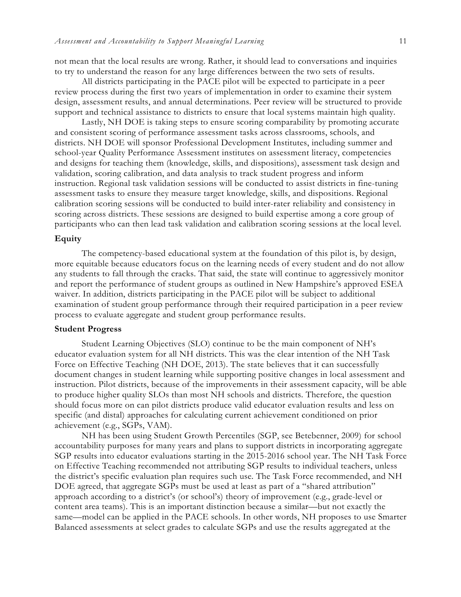not mean that the local results are wrong. Rather, it should lead to conversations and inquiries to try to understand the reason for any large differences between the two sets of results.

All districts participating in the PACE pilot will be expected to participate in a peer review process during the first two years of implementation in order to examine their system design, assessment results, and annual determinations. Peer review will be structured to provide support and technical assistance to districts to ensure that local systems maintain high quality.

Lastly, NH DOE is taking steps to ensure scoring comparability by promoting accurate and consistent scoring of performance assessment tasks across classrooms, schools, and districts. NH DOE will sponsor Professional Development Institutes, including summer and school-year Quality Performance Assessment institutes on assessment literacy, competencies and designs for teaching them (knowledge, skills, and dispositions), assessment task design and validation, scoring calibration, and data analysis to track student progress and inform instruction. Regional task validation sessions will be conducted to assist districts in fine-tuning assessment tasks to ensure they measure target knowledge, skills, and dispositions. Regional calibration scoring sessions will be conducted to build inter-rater reliability and consistency in scoring across districts. These sessions are designed to build expertise among a core group of participants who can then lead task validation and calibration scoring sessions at the local level.

#### **Equity**

The competency-based educational system at the foundation of this pilot is, by design, more equitable because educators focus on the learning needs of every student and do not allow any students to fall through the cracks. That said, the state will continue to aggressively monitor and report the performance of student groups as outlined in New Hampshire's approved ESEA waiver. In addition, districts participating in the PACE pilot will be subject to additional examination of student group performance through their required participation in a peer review process to evaluate aggregate and student group performance results.

#### **Student Progress**

Student Learning Objectives (SLO) continue to be the main component of NH's educator evaluation system for all NH districts. This was the clear intention of the NH Task Force on Effective Teaching (NH DOE, 2013). The state believes that it can successfully document changes in student learning while supporting positive changes in local assessment and instruction. Pilot districts, because of the improvements in their assessment capacity, will be able to produce higher quality SLOs than most NH schools and districts. Therefore, the question should focus more on can pilot districts produce valid educator evaluation results and less on specific (and distal) approaches for calculating current achievement conditioned on prior achievement (e.g., SGPs, VAM).

NH has been using Student Growth Percentiles (SGP, see Betebenner, 2009) for school accountability purposes for many years and plans to support districts in incorporating aggregate SGP results into educator evaluations starting in the 2015-2016 school year. The NH Task Force on Effective Teaching recommended not attributing SGP results to individual teachers, unless the district's specific evaluation plan requires such use. The Task Force recommended, and NH DOE agreed, that aggregate SGPs must be used at least as part of a "shared attribution" approach according to a district's (or school's) theory of improvement (e.g., grade-level or content area teams). This is an important distinction because a similar—but not exactly the same—model can be applied in the PACE schools. In other words, NH proposes to use Smarter Balanced assessments at select grades to calculate SGPs and use the results aggregated at the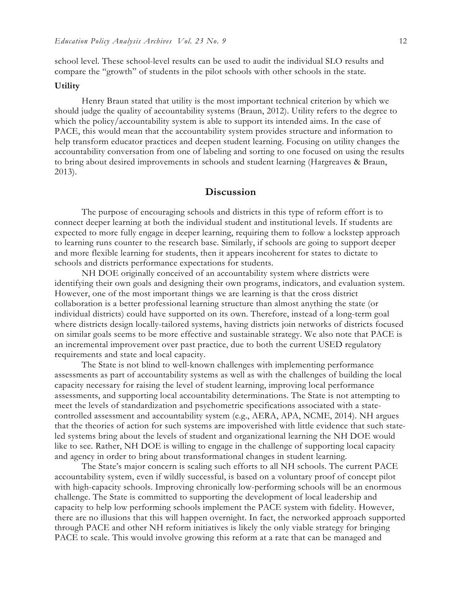school level. These school-level results can be used to audit the individual SLO results and compare the "growth" of students in the pilot schools with other schools in the state.

#### **Utility**

Henry Braun stated that utility is the most important technical criterion by which we should judge the quality of accountability systems (Braun, 2012). Utility refers to the degree to which the policy/accountability system is able to support its intended aims. In the case of PACE, this would mean that the accountability system provides structure and information to help transform educator practices and deepen student learning. Focusing on utility changes the accountability conversation from one of labeling and sorting to one focused on using the results to bring about desired improvements in schools and student learning (Hargreaves & Braun, 2013).

#### **Discussion**

The purpose of encouraging schools and districts in this type of reform effort is to connect deeper learning at both the individual student and institutional levels. If students are expected to more fully engage in deeper learning, requiring them to follow a lockstep approach to learning runs counter to the research base. Similarly, if schools are going to support deeper and more flexible learning for students, then it appears incoherent for states to dictate to schools and districts performance expectations for students.

NH DOE originally conceived of an accountability system where districts were identifying their own goals and designing their own programs, indicators, and evaluation system. However, one of the most important things we are learning is that the cross district collaboration is a better professional learning structure than almost anything the state (or individual districts) could have supported on its own. Therefore, instead of a long-term goal where districts design locally-tailored systems, having districts join networks of districts focused on similar goals seems to be more effective and sustainable strategy. We also note that PACE is an incremental improvement over past practice, due to both the current USED regulatory requirements and state and local capacity.

The State is not blind to well-known challenges with implementing performance assessments as part of accountability systems as well as with the challenges of building the local capacity necessary for raising the level of student learning, improving local performance assessments, and supporting local accountability determinations. The State is not attempting to meet the levels of standardization and psychometric specifications associated with a statecontrolled assessment and accountability system (e.g., AERA, APA, NCME, 2014). NH argues that the theories of action for such systems are impoverished with little evidence that such stateled systems bring about the levels of student and organizational learning the NH DOE would like to see. Rather, NH DOE is willing to engage in the challenge of supporting local capacity and agency in order to bring about transformational changes in student learning.

The State's major concern is scaling such efforts to all NH schools. The current PACE accountability system, even if wildly successful, is based on a voluntary proof of concept pilot with high-capacity schools. Improving chronically low-performing schools will be an enormous challenge. The State is committed to supporting the development of local leadership and capacity to help low performing schools implement the PACE system with fidelity. However, there are no illusions that this will happen overnight. In fact, the networked approach supported through PACE and other NH reform initiatives is likely the only viable strategy for bringing PACE to scale. This would involve growing this reform at a rate that can be managed and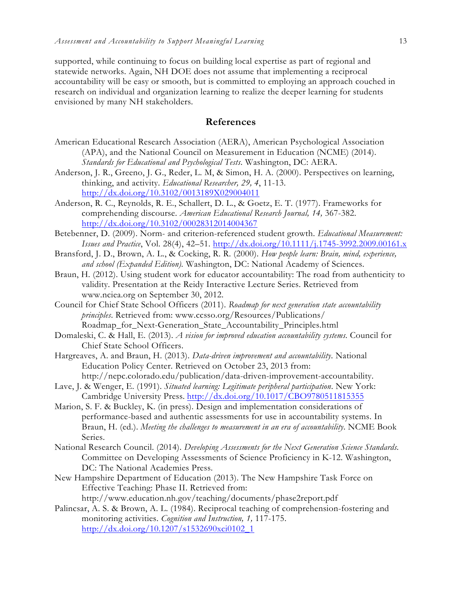supported, while continuing to focus on building local expertise as part of regional and statewide networks. Again, NH DOE does not assume that implementing a reciprocal accountability will be easy or smooth, but is committed to employing an approach couched in research on individual and organization learning to realize the deeper learning for students envisioned by many NH stakeholders.

### **References**

- American Educational Research Association (AERA), American Psychological Association (APA), and the National Council on Measurement in Education (NCME) (2014). *Standards for Educational and Psychological Tests*. Washington, DC: AERA.
- Anderson, J. R., Greeno, J. G., Reder, L. M, & Simon, H. A. (2000). Perspectives on learning, thinking, and activity. *Educational Researcher, 29, 4*, 11-13. http://dx.doi.org/10.3102/0013189X029004011
- Anderson, R. C., Reynolds, R. E., Schallert, D. L., & Goetz, E. T. (1977). Frameworks for comprehending discourse. *American Educational Research Journal, 14,* 367-382. http://dx.doi.org/10.3102/00028312014004367
- Betebenner, D. (2009). Norm- and criterion-referenced student growth. *Educational Measurement: Issues and Practice*, Vol. 28(4), 42–51. http://dx.doi.org/10.1111/j.1745-3992.2009.00161.x
- Bransford, J. D., Brown, A. L., & Cocking, R. R. (2000). *How people learn: Brain, mind, experience, and school (Expanded Edition).* Washington, DC: National Academy of Sciences.
- Braun, H. (2012). Using student work for educator accountability: The road from authenticity to validity. Presentation at the Reidy Interactive Lecture Series. Retrieved from www.nciea.org on September 30, 2012.
- Council for Chief State School Officers (2011). *Roadmap for next generation state accountability principles*. Retrieved from: www.ccsso.org/Resources/Publications/ Roadmap\_for\_Next-Generation\_State\_Accountability\_Principles.html
- Domaleski, C. & Hall, E. (2013). *A vision for improved education accountability systems*. Council for Chief State School Officers.
- Hargreaves, A. and Braun, H. (2013). *Data-driven improvement and accountability*. National Education Policy Center. Retrieved on October 23, 2013 from: http://nepc.colorado.edu/publication/data-driven-improvement-accountability.
- Lave, J. & Wenger, E. (1991). *Situated learning: Legitimate peripheral participation*. New York: Cambridge University Press. http://dx.doi.org/10.1017/CBO9780511815355
- Marion, S. F. & Buckley, K. (in press). Design and implementation considerations of performance-based and authentic assessments for use in accountability systems. In Braun, H. (ed.). *Meeting the challenges to measurement in an era of accountability*. NCME Book Series.
- National Research Council. (2014). *Developing Assessments for the Next Generation Science Standards.*  Committee on Developing Assessments of Science Proficiency in K-12. Washington, DC: The National Academies Press.
- New Hampshire Department of Education (2013). The New Hampshire Task Force on Effective Teaching: Phase II. Retrieved from:
	- http://www.education.nh.gov/teaching/documents/phase2report.pdf
- Palincsar, A. S. & Brown, A. L. (1984). Reciprocal teaching of comprehension-fostering and monitoring activities. *Cognition and Instruction, 1,* 117-175. http://dx.doi.org/10.1207/s1532690xci0102\_1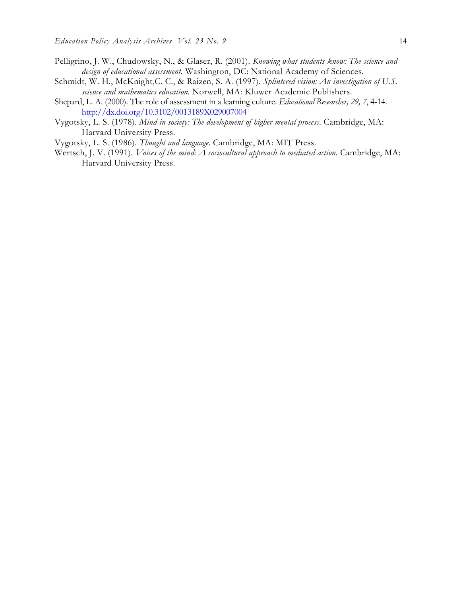- Pelligrino, J. W., Chudowsky, N., & Glaser, R. (2001). *Knowing what students know: The science and design of educational assessment.* Washington, DC: National Academy of Sciences.
- Schmidt, W. H., McKnight,C. C., & Raizen, S. A. (1997). *Splintered vision: An investigation of U.S. science and mathematics education.* Norwell, MA: Kluwer Academic Publishers.
- Shepard, L. A. (2000). The role of assessment in a learning culture. *Educational Researcher, 29, 7*, 4-14. http://dx.doi.org/10.3102/0013189X029007004
- Vygotsky, L. S. (1978). *Mind in society: The development of higher mental process*. Cambridge, MA: Harvard University Press.
- Vygotsky, L. S. (1986). *Thought and language*. Cambridge, MA: MIT Press.
- Wertsch, J. V. (1991). *Voices of the mind: A sociocultural approach to mediated action*. Cambridge, MA: Harvard University Press.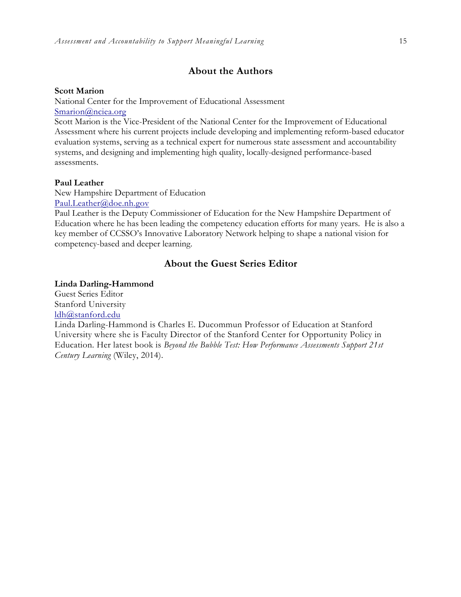## **About the Authors**

#### **Scott Marion**

National Center for the Improvement of Educational Assessment Smarion@nciea.org

Scott Marion is the Vice-President of the National Center for the Improvement of Educational Assessment where his current projects include developing and implementing reform-based educator evaluation systems, serving as a technical expert for numerous state assessment and accountability systems, and designing and implementing high quality, locally-designed performance-based assessments.

#### **Paul Leather**

New Hampshire Department of Education Paul.Leather@doe.nh.gov

Paul Leather is the Deputy Commissioner of Education for the New Hampshire Department of Education where he has been leading the competency education efforts for many years. He is also a key member of CCSSO's Innovative Laboratory Network helping to shape a national vision for competency-based and deeper learning.

#### **About the Guest Series Editor**

#### **Linda Darling-Hammond**

Guest Series Editor Stanford University ldh@stanford.edu

Linda Darling-Hammond is Charles E. Ducommun Professor of Education at Stanford University where she is Faculty Director of the Stanford Center for Opportunity Policy in Education. Her latest book is *Beyond the Bubble Test: How Performance Assessments Support 21st Century Learning* (Wiley, 2014).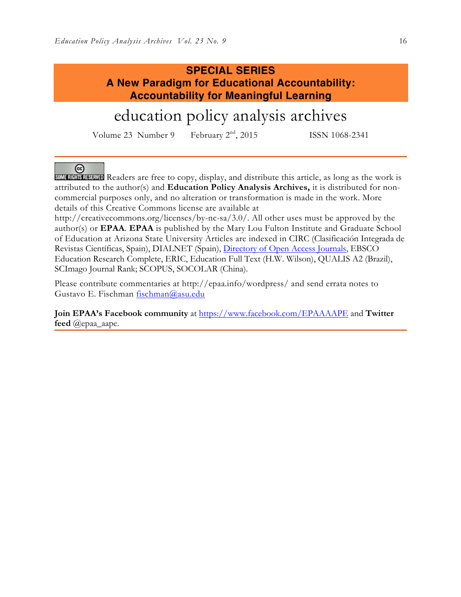## **SPECIAL SERIES A New Paradigm for Educational Accountability: Accountability for Meaningful Learning**

## education policy analysis archives

Volume 23 Number 9 February 2<sup>nd</sup>, 2015 ISSN 1068-2341

## ര

SOME RIGHTS RESERVED Readers are free to copy, display, and distribute this article, as long as the work is attributed to the author(s) and **Education Policy Analysis Archives,** it is distributed for noncommercial purposes only, and no alteration or transformation is made in the work. More details of this Creative Commons license are available at

http://creativecommons.org/licenses/by-nc-sa/3.0/. All other uses must be approved by the author(s) or **EPAA**. **EPAA** is published by the Mary Lou Fulton Institute and Graduate School of Education at Arizona State University Articles are indexed in CIRC (Clasificación Integrada de Revistas Científicas, Spain), DIALNET (Spain), Directory of Open Access Journals, EBSCO Education Research Complete, ERIC, Education Full Text (H.W. Wilson), QUALIS A2 (Brazil), SCImago Journal Rank; SCOPUS, SOCOLAR (China).

Please contribute commentaries at http://epaa.info/wordpress/ and send errata notes to Gustavo E. Fischman fischman@asu.edu

**Join EPAA's Facebook community** at https://www.facebook.com/EPAAAAPE and **Twitter feed** @epaa\_aape.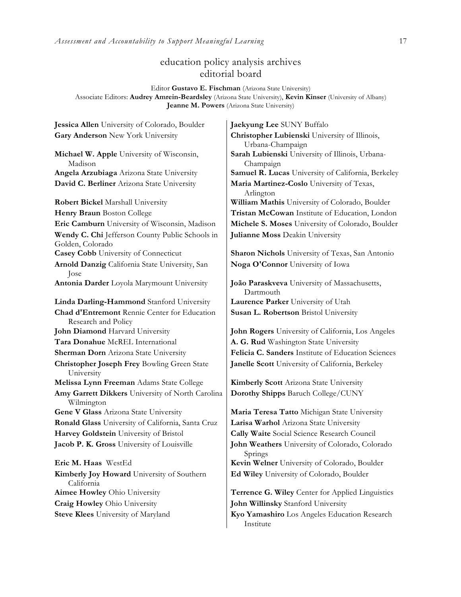## education policy analysis archives editorial board

Editor **Gustavo E. Fischman** (Arizona State University) Associate Editors: **Audrey Amrein-Beardsley** (Arizona State University), **Kevin Kinser** (University of Albany) **Jeanne M. Powers** (Arizona State University)

**Gary Anderson** New York University **Christopher Lubienski** University of Illinois, **Michael W. Apple** University of Wisconsin, Madison **David C. Berliner** Arizona State University **Maria Martinez-Coslo** University of Texas, **Robert Bickel Marshall University <b>William Mathis** University of Colorado, Boulder **Wendy C. Chi** Jefferson County Public Schools in Golden, Colorado **Casey Cobb** University of Connecticut **Sharon Nichols** University of Texas, San Antonio **Arnold Danzig** California State University, San Jose **Antonia Darder** Loyola Marymount University **João Paraskveva** University of Massachusetts, **Linda Darling-Hammond** Stanford University **Laurence Parker** University of Utah **Chad d'Entremont** Rennie Center for Education Research and Policy **John Diamond** Harvard University **John Rogers** University of California, Los Angeles **Tara Donahue** McREL International **A. G. Rud** Washington State University **Christopher Joseph Frey** Bowling Green State University **Melissa Lynn Freeman** Adams State College **Kimberly Scott** Arizona State University **Amy Garrett Dikkers** University of North Carolina Wilmington **Gene V Glass** Arizona State University **Maria Teresa Tatto** Michigan State University **Ronald Glass** University of California, Santa Cruz **Larisa Warhol** Arizona State University **Harvey Goldstein** University of Bristol **Cally Waite** Social Science Research Council **Jacob P. K. Gross** University of Louisville **John Weathers** University of Colorado, Colorado **Eric M. Haas** WestEd **Kevin Welner** University of Colorado, Boulder **Kimberly Joy Howard** University of Southern California

**Jessica Allen** University of Colorado, Boulder **Jaekyung Lee** SUNY Buffalo Urbana-Champaign **Sarah Lubienski** University of Illinois, Urbana-Champaign **Angela Arzubiaga** Arizona State University **Samuel R. Lucas** University of California, Berkeley Arlington **Henry Braun** Boston College **Tristan McCowan** Institute of Education, London **Eric Camburn** University of Wisconsin, Madison **Michele S. Moses** University of Colorado, Boulder **Julianne Moss** Deakin University

**Noga O'Connor** University of Iowa

Dartmouth **Susan L. Robertson** Bristol University

**Sherman Dorn** Arizona State University **Felicia C. Sanders** Institute of Education Sciences **Janelle Scott** University of California, Berkeley

**Dorothy Shipps** Baruch College/CUNY

Springs **Ed Wiley** University of Colorado, Boulder

**Aimee Howley** Ohio University **Terrence G. Wiley** Center for Applied Linguistics **Craig Howley** Ohio University **John Willinsky** Stanford University

**Steve Klees** University of Maryland **Kyo Yamashiro** Los Angeles Education Research Institute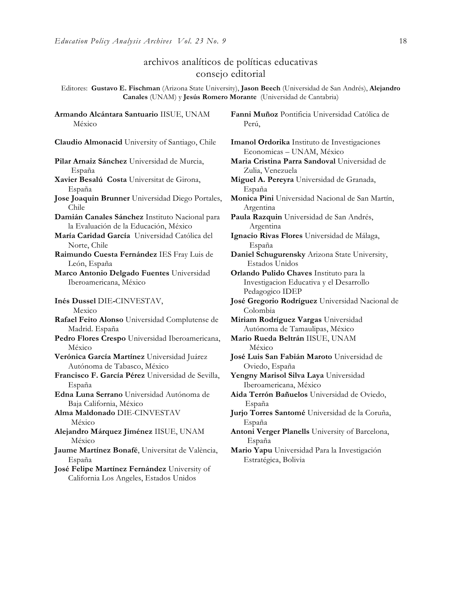**Armando Alcántara Santuario** IISUE, UNAM

## archivos analíticos de políticas educativas consejo editorial

Editores: **Gustavo E. Fischman** (Arizona State University), **Jason Beech** (Universidad de San Andrés), **Alejandro Canales** (UNAM) y **Jesús Romero Morante** (Universidad de Cantabria)

México **Claudio Almonacid** University of Santiago, Chile **Imanol Ordorika** Instituto de Investigaciones **Pilar Arnaiz Sánchez** Universidad de Murcia, España **Xavier Besalú Costa** Universitat de Girona, España **Jose Joaquin Brunner** Universidad Diego Portales, Chile **Damián Canales Sánchez** Instituto Nacional para la Evaluación de la Educación, México **María Caridad García** Universidad Católica del Norte, Chile **Raimundo Cuesta Fernández** IES Fray Luis de León, España **Marco Antonio Delgado Fuentes** Universidad Iberoamericana, México **Inés Dussel** DIE**-**CINVESTAV, Mexico **Rafael Feito Alonso** Universidad Complutense de Madrid. España **Pedro Flores Crespo** Universidad Iberoamericana, México **Verónica García Martínez** Universidad Juárez Autónoma de Tabasco, México **Francisco F. García Pérez** Universidad de Sevilla, España **Edna Luna Serrano** Universidad Autónoma de Baja California, México **Alma Maldonado** DIE-CINVESTAV México **Alejandro Márquez Jiménez** IISUE, UNAM México **Jaume Martínez Bonafé**, Universitat de València, España

**José Felipe Martínez Fernández** University of California Los Angeles, Estados Unidos

**Fanni Muñoz** Pontificia Universidad Católica de Perú,

Economicas – UNAM, México **Maria Cristina Parra Sandoval** Universidad de Zulia, Venezuela **Miguel A. Pereyra** Universidad de Granada, España **Monica Pini** Universidad Nacional de San Martín, Argentina **Paula Razquin** Universidad de San Andrés, Argentina **Ignacio Rivas Flores** Universidad de Málaga, España **Daniel Schugurensky** Arizona State University, Estados Unidos **Orlando Pulido Chaves** Instituto para la Investigacion Educativa y el Desarrollo Pedagogico IDEP **José Gregorio Rodríguez** Universidad Nacional de Colombia **Miriam Rodríguez Vargas** Universidad Autónoma de Tamaulipas, México **Mario Rueda Beltrán** IISUE, UNAM México **José Luis San Fabián Maroto** Universidad de Oviedo, España **Yengny Marisol Silva Laya** Universidad Iberoamericana, México **Aida Terrón Bañuelos** Universidad de Oviedo, España **Jurjo Torres Santomé** Universidad de la Coruña, España **Antoni Verger Planells** University of Barcelona, España **Mario Yapu** Universidad Para la Investigación Estratégica, Bolivia